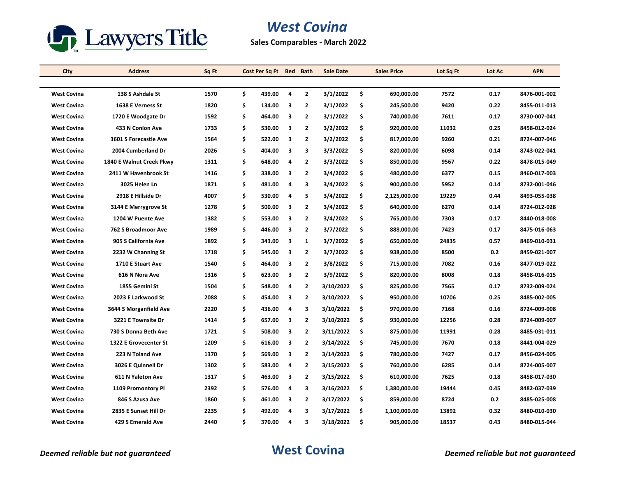

## *West Covina*

**Sales Comparables - March 2022**

| City               | <b>Address</b>           | Sq Ft | Cost Per Sq Ft Bed Bath |   |                         | <b>Sale Date</b> |     | <b>Sales Price</b> | Lot Sq Ft | Lot Ac | <b>APN</b>   |
|--------------------|--------------------------|-------|-------------------------|---|-------------------------|------------------|-----|--------------------|-----------|--------|--------------|
|                    |                          |       |                         |   |                         |                  |     |                    |           |        |              |
| <b>West Covina</b> | 138 S Ashdale St         | 1570  | \$<br>439.00            | 4 | $\overline{2}$          | 3/1/2022         | \$  | 690,000.00         | 7572      | 0.17   | 8476-001-002 |
| <b>West Covina</b> | 1638 E Verness St        | 1820  | \$<br>134.00            | 3 | $\overline{2}$          | 3/1/2022         | \$  | 245,500.00         | 9420      | 0.22   | 8455-011-013 |
| <b>West Covina</b> | 1720 E Woodgate Dr       | 1592  | \$<br>464.00            | 3 | $\overline{2}$          | 3/1/2022         | \$  | 740,000.00         | 7611      | 0.17   | 8730-007-041 |
| <b>West Covina</b> | 433 N Conlon Ave         | 1733  | \$<br>530.00            | 3 | $\overline{2}$          | 3/2/2022         | \$  | 920,000.00         | 11032     | 0.25   | 8458-012-024 |
| <b>West Covina</b> | 3601 S Forecastle Ave    | 1564  | \$<br>522.00            | 3 | 2                       | 3/2/2022         | \$  | 817,000.00         | 9260      | 0.21   | 8724-007-046 |
| <b>West Covina</b> | 2004 Cumberland Dr       | 2026  | \$<br>404.00            | 3 | 3                       | 3/3/2022         | \$  | 820,000.00         | 6098      | 0.14   | 8743-022-041 |
| <b>West Covina</b> | 1840 E Walnut Creek Pkwy | 1311  | \$<br>648.00            | 4 | $\overline{2}$          | 3/3/2022         | \$  | 850,000.00         | 9567      | 0.22   | 8478-015-049 |
| <b>West Covina</b> | 2411 W Havenbrook St     | 1416  | \$<br>338.00            | 3 | $\overline{2}$          | 3/4/2022         | \$  | 480,000.00         | 6377      | 0.15   | 8460-017-003 |
| <b>West Covina</b> | 3025 Helen Ln            | 1871  | \$<br>481.00            | 4 | 3                       | 3/4/2022         | \$  | 900,000.00         | 5952      | 0.14   | 8732-001-046 |
| <b>West Covina</b> | 2918 E Hillside Dr       | 4007  | \$<br>530.00            | 4 | 5                       | 3/4/2022         | \$  | 2,125,000.00       | 19229     | 0.44   | 8493-055-038 |
| <b>West Covina</b> | 3144 E Merrygrove St     | 1278  | \$<br>500.00            | 3 | 2                       | 3/4/2022         | \$  | 640,000.00         | 6270      | 0.14   | 8724-012-028 |
| <b>West Covina</b> | 1204 W Puente Ave        | 1382  | \$<br>553.00            | 3 | $\overline{2}$          | 3/4/2022         | \$  | 765,000.00         | 7303      | 0.17   | 8440-018-008 |
| <b>West Covina</b> | 762 S Broadmoor Ave      | 1989  | \$<br>446.00            | 3 | $\overline{2}$          | 3/7/2022         | \$  | 888,000.00         | 7423      | 0.17   | 8475-016-063 |
| <b>West Covina</b> | 905 S California Ave     | 1892  | \$<br>343.00            | 3 | $\mathbf{1}$            | 3/7/2022         | \$  | 650,000.00         | 24835     | 0.57   | 8469-010-031 |
| <b>West Covina</b> | 2232 W Channing St       | 1718  | \$<br>545.00            | 3 | $\overline{\mathbf{2}}$ | 3/7/2022         | \$  | 938,000.00         | 8500      | 0.2    | 8459-021-007 |
| <b>West Covina</b> | 1710 E Stuart Ave        | 1540  | \$<br>464.00            | 3 | $\overline{2}$          | 3/8/2022         | \$  | 715,000.00         | 7082      | 0.16   | 8477-019-022 |
| <b>West Covina</b> | 616 N Nora Ave           | 1316  | \$<br>623.00            | 3 | $\overline{2}$          | 3/9/2022         | \$  | 820,000.00         | 8008      | 0.18   | 8458-016-015 |
| <b>West Covina</b> | 1855 Gemini St           | 1504  | \$<br>548.00            | 4 | $\overline{2}$          | 3/10/2022        | \$  | 825,000.00         | 7565      | 0.17   | 8732-009-024 |
| <b>West Covina</b> | 2023 E Larkwood St       | 2088  | \$<br>454.00            | 3 | $\overline{2}$          | 3/10/2022        | \$  | 950,000.00         | 10706     | 0.25   | 8485-002-005 |
| <b>West Covina</b> | 3644 S Morganfield Ave   | 2220  | \$<br>436.00            | 4 | 3                       | 3/10/2022        | \$. | 970,000.00         | 7168      | 0.16   | 8724-009-008 |
| <b>West Covina</b> | 3221 E Townsite Dr       | 1414  | \$<br>657.00            | 3 | $\overline{2}$          | 3/10/2022        | \$  | 930,000.00         | 12256     | 0.28   | 8724-009-007 |
| <b>West Covina</b> | 730 S Donna Beth Ave     | 1721  | \$<br>508.00            | 3 | $\overline{2}$          | 3/11/2022        | \$  | 875,000.00         | 11991     | 0.28   | 8485-031-011 |
| <b>West Covina</b> | 1322 E Grovecenter St    | 1209  | \$<br>616.00            | 3 | 2                       | 3/14/2022        | \$  | 745,000.00         | 7670      | 0.18   | 8441-004-029 |
| <b>West Covina</b> | 223 N Toland Ave         | 1370  | \$<br>569.00            | 3 | $\overline{2}$          | 3/14/2022        | \$  | 780,000.00         | 7427      | 0.17   | 8456-024-005 |
| <b>West Covina</b> | 3026 E Quinnell Dr       | 1302  | \$<br>583.00            | 4 | $\overline{2}$          | 3/15/2022        | \$  | 760,000.00         | 6285      | 0.14   | 8724 005 007 |
| <b>West Covina</b> | 611 N Yaleton Ave        | 1317  | \$<br>463.00            | 3 | $\mathbf{2}$            | 3/15/2022        | \$  | 610,000.00         | 7625      | 0.18   | 8458-017-030 |
| <b>West Covina</b> | 1109 Promontory Pl       | 2392  | \$<br>576.00            | 4 | 3                       | 3/16/2022        | \$  | 1,380,000.00       | 19444     | 0.45   | 8482-037-039 |
| <b>West Covina</b> | 846 S Azusa Ave          | 1860  | \$<br>461.00            | 3 | $\overline{2}$          | 3/17/2022        | \$  | 859,000.00         | 8724      | 0.2    | 8485-025-008 |
| <b>West Covina</b> | 2835 E Sunset Hill Dr    | 2235  | \$<br>492.00            | 4 | 3                       | 3/17/2022        | \$  | 1,100,000.00       | 13892     | 0.32   | 8480-010-030 |
| <b>West Covina</b> | 429 S Emerald Ave        | 2440  | \$<br>370.00            | 4 | 3                       | 3/18/2022        | \$  | 905,000.00         | 18537     | 0.43   | 8480-015-044 |